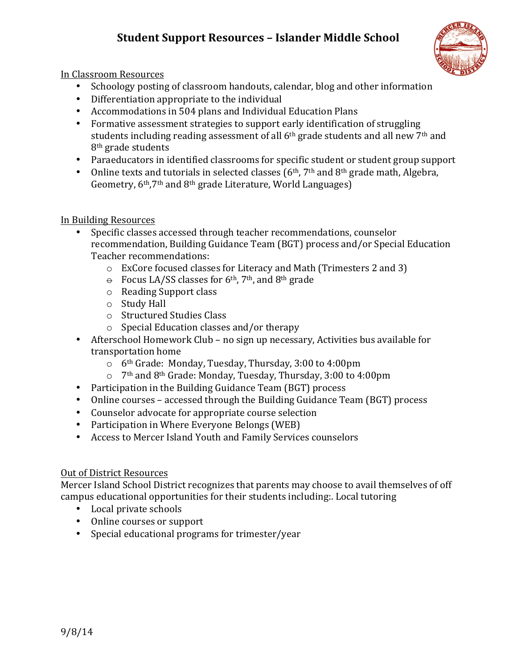# **Student Support Resources – Islander Middle School**



In Classroom Resources

- Schoology posting of classroom handouts, calendar, blog and other information
- $\bullet$  Differentiation appropriate to the individual
- Accommodations in 504 plans and Individual Education Plans
- Formative assessment strategies to support early identification of struggling students including reading assessment of all  $6<sup>th</sup>$  grade students and all new  $7<sup>th</sup>$  and  $8<sup>th</sup>$  grade students
- Paraeducators in identified classrooms for specific student or student group support
- Online texts and tutorials in selected classes  $(6<sup>th</sup>, 7<sup>th</sup>$  and  $8<sup>th</sup>$  grade math, Algebra, Geometry, 6<sup>th</sup>,7<sup>th</sup> and 8<sup>th</sup> grade Literature, World Languages)

# In Building Resources

- Specific classes accessed through teacher recommendations, counselor recommendation, Building Guidance Team (BGT) process and/or Special Education Teacher recommendations:
	- $\circ$  ExCore focused classes for Literacy and Math (Trimesters 2 and 3)
	- $\theta$  Focus LA/SS classes for 6<sup>th</sup>, 7<sup>th</sup>, and 8<sup>th</sup> grade
	- $\circ$  Reading Support class
	- $\circ$  Study Hall
	- o Structured Studies Class
	- $\circ$  Special Education classes and/or therapy
- Afterschool Homework Club no sign up necessary, Activities bus available for transportation home
	- $\circ$  6<sup>th</sup> Grade: Monday, Tuesday, Thursday, 3:00 to 4:00pm
	- $\circ$  7<sup>th</sup> and 8<sup>th</sup> Grade: Monday, Tuesday, Thursday, 3:00 to 4:00pm
- Participation in the Building Guidance Team (BGT) process
- Online courses accessed through the Building Guidance Team (BGT) process
- Counselor advocate for appropriate course selection
- Participation in Where Everyone Belongs (WEB)
- Access to Mercer Island Youth and Family Services counselors

# Out of District Resources

Mercer Island School District recognizes that parents may choose to avail themselves of off campus educational opportunities for their students including:. Local tutoring

- Local private schools
- Online courses or support
- Special educational programs for trimester/year